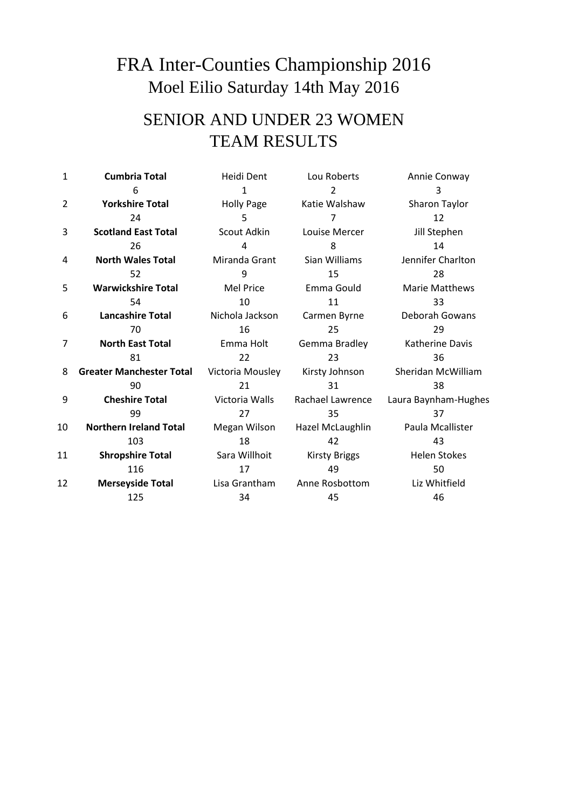## FRA Inter-Counties Championship 2016 Moel Eilio Saturday 14th May 2016

## SENIOR AND UNDER 23 WOMEN TEAM RESULTS

| 1  | <b>Cumbria Total</b>            | Heidi Dent        | Lou Roberts          | Annie Conway          |
|----|---------------------------------|-------------------|----------------------|-----------------------|
|    | 6                               | 1                 | 2                    | 3                     |
| 2  | <b>Yorkshire Total</b>          | <b>Holly Page</b> | Katie Walshaw        | Sharon Taylor         |
|    | 24                              | 5                 |                      | 12                    |
| 3  | <b>Scotland East Total</b>      | Scout Adkin       | Louise Mercer        | Jill Stephen          |
|    | 26                              | 4                 | 8                    | 14                    |
| 4  | <b>North Wales Total</b>        | Miranda Grant     | Sian Williams        | Jennifer Charlton     |
|    | 52                              | 9                 | 15                   | 28                    |
| 5  | <b>Warwickshire Total</b>       | <b>Mel Price</b>  | Emma Gould           | <b>Marie Matthews</b> |
|    | 54                              | 10                | 11                   | 33                    |
| 6  | <b>Lancashire Total</b>         | Nichola Jackson   | Carmen Byrne         | Deborah Gowans        |
|    | 70                              | 16                | 25                   | 29                    |
| 7  | <b>North East Total</b>         | Emma Holt         | Gemma Bradley        | Katherine Davis       |
|    | 81                              | 22                | 23                   | 36                    |
| 8  | <b>Greater Manchester Total</b> | Victoria Mousley  | Kirsty Johnson       | Sheridan McWilliam    |
|    | 90                              | 21                | 31                   | 38                    |
| 9  | <b>Cheshire Total</b>           | Victoria Walls    | Rachael Lawrence     | Laura Baynham-Hughes  |
|    | 99                              | 27                | 35                   | 37                    |
| 10 | <b>Northern Ireland Total</b>   | Megan Wilson      | Hazel McLaughlin     | Paula Mcallister      |
|    | 103                             | 18                | 42                   | 43                    |
| 11 | <b>Shropshire Total</b>         | Sara Willhoit     | <b>Kirsty Briggs</b> | <b>Helen Stokes</b>   |
|    | 116                             | 17                | 49                   | 50                    |
| 12 | <b>Merseyside Total</b>         | Lisa Grantham     | Anne Rosbottom       | Liz Whitfield         |
|    | 125                             | 34                | 45                   | 46                    |